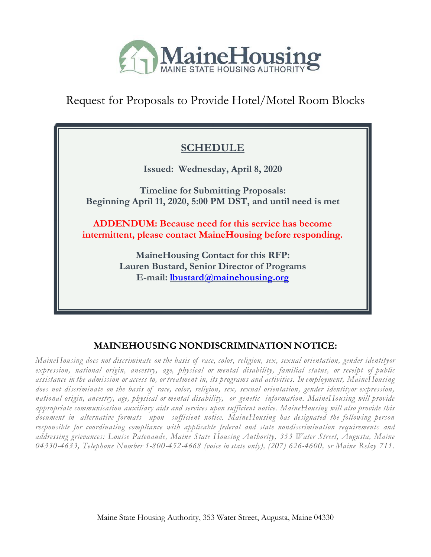

Request for Proposals to Provide Hotel/Motel Room Blocks

# **SCHEDULE**

**Issued: Wednesday, April 8, 2020**

**Timeline for Submitting Proposals: Beginning April 11, 2020, 5:00 PM DST, and until need is met**

**ADDENDUM: Because need for this service has become intermittent, please contact MaineHousing before responding.**

> **MaineHousing Contact for this RFP: Lauren Bustard, Senior Director of Programs E-mail: [lbustard@mainehousing.org](mailto:lbustard@mainehousing.org)**

# **MAINEHOUSING NONDISCRIMINATION NOTICE:**

*MaineHousing does not discriminate on the basis of race, color, religion, sex, sexual orientation, gender identityor expression, national origin, ancestry, age, physical or mental disability, familial status, or receipt of public* assistance in the admission or access to, or treatment in, its programs and activities. In employment, MaineHousing *does not discriminate on the basis of race, color, religion, sex, sexual orientation, gender identityor expression, national origin, ancestry, age, physical or mental disability, or genetic information. MaineHousing will provide appropriate communication auxiliary aids and services upon sufficient notice. MaineHousing will also provide this document in alternative formats upon sufficient notice. MaineHousing has designated the following person responsible for coordinating compliance with applicable federal and state nondiscrimination requirements and addressing grievances: Louise Patenaude, Maine State Housing Authority, 353 Water Street, Augusta, Maine 04330-4633, Telephone Number 1-800-452-4668 (voice in state only), (207) 626-4600, or Maine Relay 711.*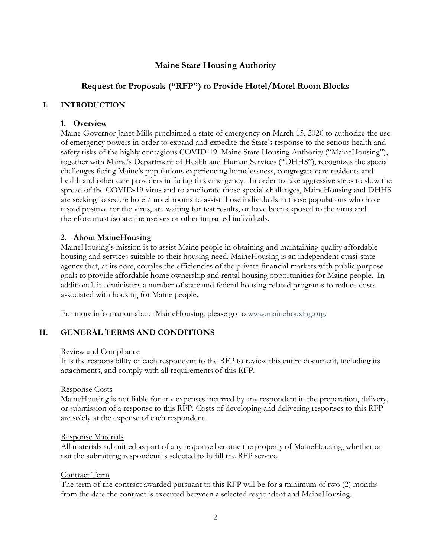### **Maine State Housing Authority**

### **Request for Proposals ("RFP") to Provide Hotel/Motel Room Blocks**

#### **I. INTRODUCTION**

#### **1. Overview**

Maine Governor Janet Mills proclaimed a state of emergency on March 15, 2020 to authorize the use of emergency powers in order to expand and expedite the State's response to the serious health and safety risks of the highly contagious COVID-19. Maine State Housing Authority ("MaineHousing"), together with Maine's Department of Health and Human Services ("DHHS"), recognizes the special challenges facing Maine's populations experiencing homelessness, congregate care residents and health and other care providers in facing this emergency. In order to take aggressive steps to slow the spread of the COVID-19 virus and to ameliorate those special challenges, MaineHousing and DHHS are seeking to secure hotel/motel rooms to assist those individuals in those populations who have tested positive for the virus, are waiting for test results, or have been exposed to the virus and therefore must isolate themselves or other impacted individuals.

### **2. About MaineHousing**

MaineHousing's mission is to assist Maine people in obtaining and maintaining quality affordable housing and services suitable to their housing need. MaineHousing is an independent quasi-state agency that, at its core, couples the efficiencies of the private financial markets with public purpose goals to provide affordable home ownership and rental housing opportunities for Maine people. In additional, it administers a number of state and federal housing-related programs to reduce costs associated with housing for Maine people.

For more information about MaineHousing, please go to [www.mainehousing.org.](http://www.mainehousing.org/)

### **II. GENERAL TERMS AND CONDITIONS**

#### Review and Compliance

It is the responsibility of each respondent to the RFP to review this entire document, including its attachments, and comply with all requirements of this RFP.

#### Response Costs

MaineHousing is not liable for any expenses incurred by any respondent in the preparation, delivery, or submission of a response to this RFP. Costs of developing and delivering responses to this RFP are solely at the expense of each respondent.

#### Response Materials

All materials submitted as part of any response become the property of MaineHousing, whether or not the submitting respondent is selected to fulfill the RFP service.

#### Contract Term

The term of the contract awarded pursuant to this RFP will be for a minimum of two (2) months from the date the contract is executed between a selected respondent and MaineHousing.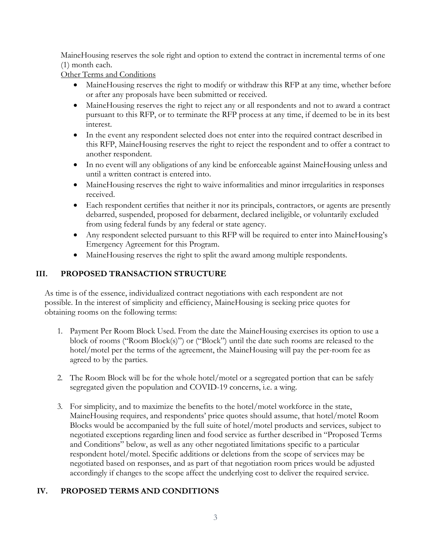MaineHousing reserves the sole right and option to extend the contract in incremental terms of one (1) month each.

Other Terms and Conditions

- MaineHousing reserves the right to modify or withdraw this RFP at any time, whether before or after any proposals have been submitted or received.
- MaineHousing reserves the right to reject any or all respondents and not to award a contract pursuant to this RFP, or to terminate the RFP process at any time, if deemed to be in its best interest.
- In the event any respondent selected does not enter into the required contract described in this RFP, MaineHousing reserves the right to reject the respondent and to offer a contract to another respondent.
- In no event will any obligations of any kind be enforceable against MaineHousing unless and until a written contract is entered into.
- MaineHousing reserves the right to waive informalities and minor irregularities in responses received.
- Each respondent certifies that neither it nor its principals, contractors, or agents are presently debarred, suspended, proposed for debarment, declared ineligible, or voluntarily excluded from using federal funds by any federal or state agency.
- Any respondent selected pursuant to this RFP will be required to enter into MaineHousing's Emergency Agreement for this Program.
- MaineHousing reserves the right to split the award among multiple respondents.

### **III. PROPOSED TRANSACTION STRUCTURE**

As time is of the essence, individualized contract negotiations with each respondent are not possible. In the interest of simplicity and efficiency, MaineHousing is seeking price quotes for obtaining rooms on the following terms:

- 1. Payment Per Room Block Used. From the date the MaineHousing exercises its option to use a block of rooms ("Room Block(s)") or ("Block") until the date such rooms are released to the hotel/motel per the terms of the agreement, the MaineHousing will pay the per-room fee as agreed to by the parties.
- 2. The Room Block will be for the whole hotel/motel or a segregated portion that can be safely segregated given the population and COVID-19 concerns, i.e. a wing.
- 3. For simplicity, and to maximize the benefits to the hotel/motel workforce in the state, MaineHousing requires, and respondents' price quotes should assume, that hotel/motel Room Blocks would be accompanied by the full suite of hotel/motel products and services, subject to negotiated exceptions regarding linen and food service as further described in "Proposed Terms and Conditions" below, as well as any other negotiated limitations specific to a particular respondent hotel/motel. Specific additions or deletions from the scope of services may be negotiated based on responses, and as part of that negotiation room prices would be adjusted accordingly if changes to the scope affect the underlying cost to deliver the required service.

### **IV. PROPOSED TERMS AND CONDITIONS**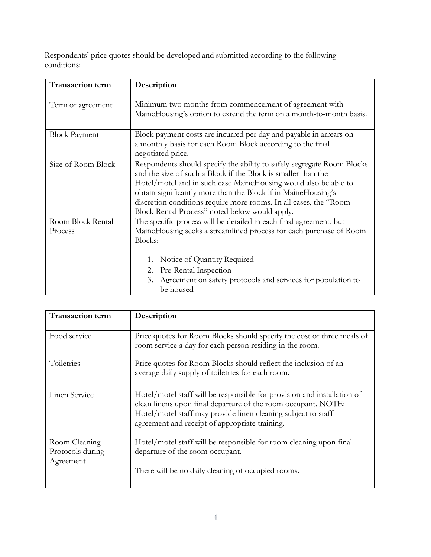Respondents' price quotes should be developed and submitted according to the following conditions:

| <b>Transaction term</b>      | Description                                                                                                                                                                                                                                                                                                                                                                                        |  |  |  |  |  |
|------------------------------|----------------------------------------------------------------------------------------------------------------------------------------------------------------------------------------------------------------------------------------------------------------------------------------------------------------------------------------------------------------------------------------------------|--|--|--|--|--|
| Term of agreement            | Minimum two months from commencement of agreement with<br>MaineHousing's option to extend the term on a month-to-month basis.                                                                                                                                                                                                                                                                      |  |  |  |  |  |
| <b>Block Payment</b>         | Block payment costs are incurred per day and payable in arrears on<br>a monthly basis for each Room Block according to the final<br>negotiated price.                                                                                                                                                                                                                                              |  |  |  |  |  |
| Size of Room Block           | Respondents should specify the ability to safely segregate Room Blocks<br>and the size of such a Block if the Block is smaller than the<br>Hotel/motel and in such case MaineHousing would also be able to<br>obtain significantly more than the Block if in MaineHousing's<br>discretion conditions require more rooms. In all cases, the "Room<br>Block Rental Process" noted below would apply. |  |  |  |  |  |
| Room Block Rental<br>Process | The specific process will be detailed in each final agreement, but<br>MaineHousing seeks a streamlined process for each purchase of Room<br>Blocks:<br>Notice of Quantity Required<br>1.<br>Pre-Rental Inspection<br>2.<br>Agreement on safety protocols and services for population to<br>3.<br>be housed                                                                                         |  |  |  |  |  |

| <b>Transaction term</b>                        | Description                                                                                                                                                                                                                                                 |  |  |  |  |
|------------------------------------------------|-------------------------------------------------------------------------------------------------------------------------------------------------------------------------------------------------------------------------------------------------------------|--|--|--|--|
| Food service                                   | Price quotes for Room Blocks should specify the cost of three meals of<br>room service a day for each person residing in the room.                                                                                                                          |  |  |  |  |
| Toiletries                                     | Price quotes for Room Blocks should reflect the inclusion of an<br>average daily supply of toiletries for each room.                                                                                                                                        |  |  |  |  |
| Linen Service                                  | Hotel/motel staff will be responsible for provision and installation of<br>clean linens upon final departure of the room occupant. NOTE:<br>Hotel/motel staff may provide linen cleaning subject to staff<br>agreement and receipt of appropriate training. |  |  |  |  |
| Room Cleaning<br>Protocols during<br>Agreement | Hotel/motel staff will be responsible for room cleaning upon final<br>departure of the room occupant.<br>There will be no daily cleaning of occupied rooms.                                                                                                 |  |  |  |  |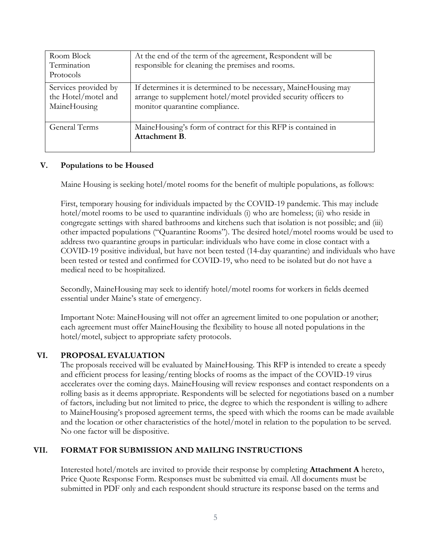| Room Block<br>Termination<br>Protocols                      | At the end of the term of the agreement, Respondent will be<br>responsible for cleaning the premises and rooms.                                                       |
|-------------------------------------------------------------|-----------------------------------------------------------------------------------------------------------------------------------------------------------------------|
| Services provided by<br>the Hotel/motel and<br>MaineHousing | If determines it is determined to be necessary, MaineHousing may<br>arrange to supplement hotel/motel provided security officers to<br>monitor quarantine compliance. |
| General Terms                                               | MaineHousing's form of contract for this RFP is contained in<br>Attachment B.                                                                                         |

#### **V. Populations to be Housed**

Maine Housing is seeking hotel/motel rooms for the benefit of multiple populations, as follows:

First, temporary housing for individuals impacted by the COVID-19 pandemic. This may include hotel/motel rooms to be used to quarantine individuals (i) who are homeless; (ii) who reside in congregate settings with shared bathrooms and kitchens such that isolation is not possible; and (iii) other impacted populations ("Quarantine Rooms"). The desired hotel/motel rooms would be used to address two quarantine groups in particular: individuals who have come in close contact with a COVID-19 positive individual, but have not been tested (14-day quarantine) and individuals who have been tested or tested and confirmed for COVID-19, who need to be isolated but do not have a medical need to be hospitalized.

Secondly, MaineHousing may seek to identify hotel/motel rooms for workers in fields deemed essential under Maine's state of emergency.

Important Note: MaineHousing will not offer an agreement limited to one population or another; each agreement must offer MaineHousing the flexibility to house all noted populations in the hotel/motel, subject to appropriate safety protocols.

#### **VI. PROPOSAL EVALUATION**

The proposals received will be evaluated by MaineHousing. This RFP is intended to create a speedy and efficient process for leasing/renting blocks of rooms as the impact of the COVID-19 virus accelerates over the coming days. MaineHousing will review responses and contact respondents on a rolling basis as it deems appropriate. Respondents will be selected for negotiations based on a number of factors, including but not limited to price, the degree to which the respondent is willing to adhere to MaineHousing's proposed agreement terms, the speed with which the rooms can be made available and the location or other characteristics of the hotel/motel in relation to the population to be served. No one factor will be dispositive.

#### **VII. FORMAT FOR SUBMISSION AND MAILING INSTRUCTIONS**

Interested hotel/motels are invited to provide their response by completing **Attachment A** hereto, Price Quote Response Form. Responses must be submitted via email. All documents must be submitted in PDF only and each respondent should structure its response based on the terms and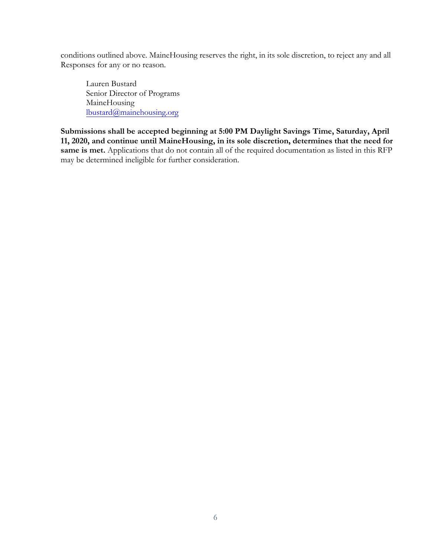conditions outlined above. MaineHousing reserves the right, in its sole discretion, to reject any and all Responses for any or no reason.

Lauren Bustard Senior Director of Programs MaineHousing [lbustard@mainehousing.org](mailto:lbustard@mainehousing.org)

**Submissions shall be accepted beginning at 5:00 PM Daylight Savings Time, Saturday, April 11, 2020, and continue until MaineHousing, in its sole discretion, determines that the need for** same is met. Applications that do not contain all of the required documentation as listed in this RFP may be determined ineligible for further consideration.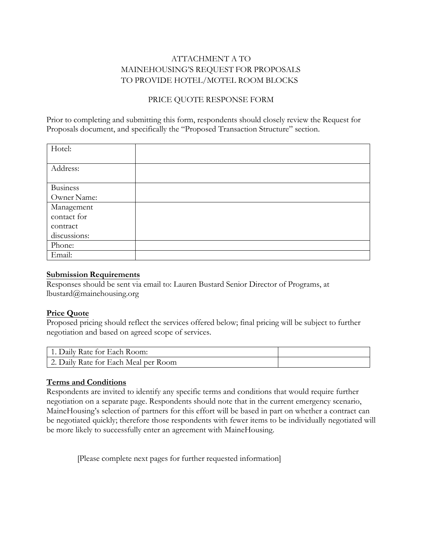### ATTACHMENT A TO MAINEHOUSING'S REQUEST FOR PROPOSALS TO PROVIDE HOTEL/MOTEL ROOM BLOCKS

#### PRICE QUOTE RESPONSE FORM

Prior to completing and submitting this form, respondents should closely review the Request for Proposals document, and specifically the "Proposed Transaction Structure" section.

| Hotel:          |  |
|-----------------|--|
|                 |  |
| Address:        |  |
|                 |  |
| <b>Business</b> |  |
| Owner Name:     |  |
| Management      |  |
| contact for     |  |
| contract        |  |
| discussions:    |  |
| Phone:          |  |
| Email:          |  |

#### **Submission Requirements**

Responses should be sent via email to: Lauren Bustard Senior Director of Programs, at lbustard@[mainehousing.org](mailto:dlord@mainehousing.org) 

#### **Price Quote**

Proposed pricing should reflect the services offered below; final pricing will be subject to further negotiation and based on agreed scope of services.

| 1. Daily Rate for Each Room:         |  |
|--------------------------------------|--|
| 2. Daily Rate for Each Meal per Room |  |

#### **Terms and Conditions**

Respondents are invited to identify any specific terms and conditions that would require further negotiation on a separate page. Respondents should note that in the current emergency scenario, MaineHousing's selection of partners for this effort will be based in part on whether a contract can be negotiated quickly; therefore those respondents with fewer items to be individually negotiated will be more likely to successfully enter an agreement with MaineHousing.

[Please complete next pages for further requested information]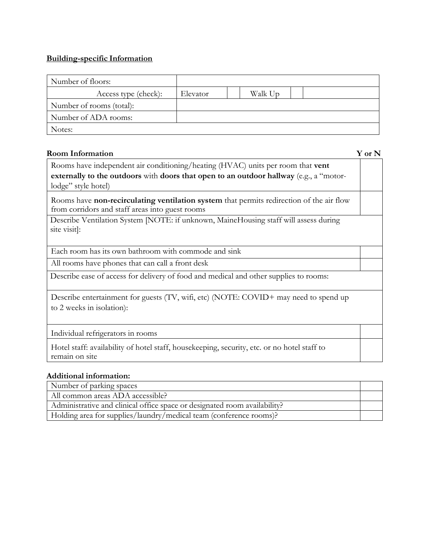#### **Building-specific Information**

| Number of floors:        |          |         |  |  |
|--------------------------|----------|---------|--|--|
| Access type (check):     | Elevator | Walk Up |  |  |
| Number of rooms (total): |          |         |  |  |
| Number of ADA rooms:     |          |         |  |  |
| Notes:                   |          |         |  |  |

#### **Room Information Y or N**

Rooms have independent air conditioning/heating (HVAC) units per room that **vent externally to the outdoors** with **doors that open to an outdoor hallway** (e.g., a "motorlodge" style hotel)

Rooms have **non-recirculating ventilation system** that permits redirection of the air flow from corridors and staff areas into guest rooms

Describe Ventilation System [NOTE: if unknown, MaineHousing staff will assess during site visit]:

Each room has its own bathroom with commode and sink

All rooms have phones that can call a front desk

Describe ease of access for delivery of food and medical and other supplies to rooms:

Describe entertainment for guests (TV, wifi, etc) (NOTE: COVID+ may need to spend up to 2 weeks in isolation):

Individual refrigerators in rooms

Hotel staff: availability of hotel staff, housekeeping, security, etc. or no hotel staff to remain on site

#### **Additional information:**

Number of parking spaces

All common areas ADA accessible?

Administrative and clinical office space or designated room availability?

Holding area for supplies/laundry/medical team (conference rooms)?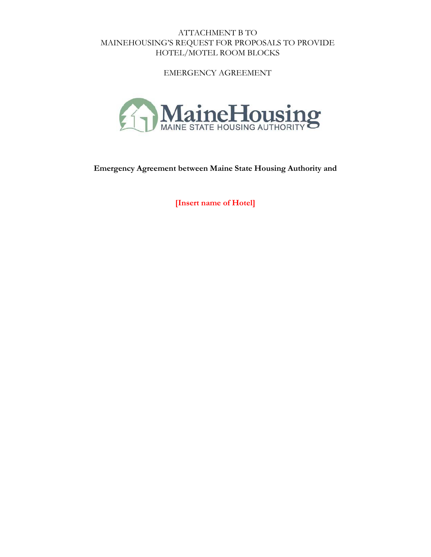ATTACHMENT B TO MAINEHOUSING'S REQUEST FOR PROPOSALS TO PROVIDE HOTEL/MOTEL ROOM BLOCKS

EMERGENCY AGREEMENT



**Emergency Agreement between Maine State Housing Authority and**

**[Insert name of Hotel]**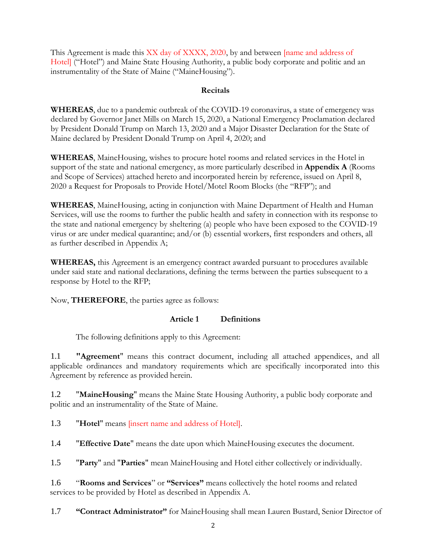This Agreement is made this XX day of XXXX, 2020, by and between [name and address of Hotel] ("Hotel") and Maine State Housing Authority, a public body corporate and politic and an instrumentality of the State of Maine ("MaineHousing").

#### **Recitals**

**WHEREAS**, due to a pandemic outbreak of the COVID-19 coronavirus, a state of emergency was declared by Governor Janet Mills on March 15, 2020, a National Emergency Proclamation declared by President Donald Trump on March 13, 2020 and a Major Disaster Declaration for the State of Maine declared by President Donald Trump on April 4, 2020; and

**WHEREAS**, MaineHousing, wishes to procure hotel rooms and related services in the Hotel in support of the state and national emergency, as more particularly described in **Appendix A** (Rooms and Scope of Services) attached hereto and incorporated herein by reference, issued on April 8, 2020 a Request for Proposals to Provide Hotel/Motel Room Blocks (the "RFP"); and

**WHEREAS**, MaineHousing, acting in conjunction with Maine Department of Health and Human Services, will use the rooms to further the public health and safety in connection with its response to the state and national emergency by sheltering (a) people who have been exposed to the COVID-19 virus or are under medical quarantine; and/or (b) essential workers, first responders and others, all as further described in Appendix A;

**WHEREAS,** this Agreement is an emergency contract awarded pursuant to procedures available under said state and national declarations, defining the terms between the parties subsequent to a response by Hotel to the RFP;

Now, **THEREFORE**, the parties agree as follows:

#### **Article 1 Definitions**

The following definitions apply to this Agreement:

1.1 **"Agreement**" means this contract document, including all attached appendices, and all applicable ordinances and mandatory requirements which are specifically incorporated into this Agreement by reference as provided herein.

1.2 "**MaineHousing**" means the Maine State Housing Authority, a public body corporate and politic and an instrumentality of the State of Maine.

1.3 "**Hotel**" means [insert name and address of Hotel].

1.4 "**Effective Date**" means the date upon which MaineHousing executes the document.

1.5 "**Party**" and "**Parties**" mean MaineHousing and Hotel either collectively or individually.

1.6 "**Rooms and Services**" or **"Services"** means collectively the hotel rooms and related services to be provided by Hotel as described in Appendix A.

1.7 **"Contract Administrator"** for MaineHousing shall mean Lauren Bustard, Senior Director of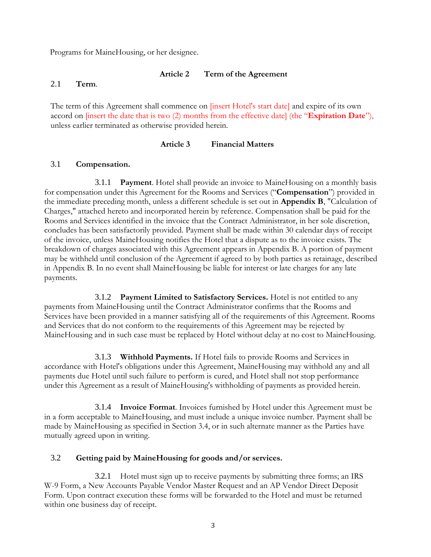Programs for MaineHousing, or her designee.

#### **Article 2 Term of the Agreement**

#### 2.1 **Term**.

The term of this Agreement shall commence on *[insert Hotel's start date]* and expire of its own accord on [insert the date that is two (2) months from the effective date] (the "**Expiration Date**"), unless earlier terminated as otherwise provided herein.

#### **Article 3 Financial Matters**

#### 3.1 **Compensation.**

3.1.1 **Payment**. Hotel shall provide an invoice to MaineHousing on a monthly basis for compensation under this Agreement for the Rooms and Services ("**Compensation**") provided in the immediate preceding month, unless a different schedule is set out in **Appendix B**, "Calculation of Charges," attached hereto and incorporated herein by reference. Compensation shall be paid for the Rooms and Services identified in the invoice that the Contract Administrator, in her sole discretion, concludes has been satisfactorily provided. Payment shall be made within 30 calendar days of receipt of the invoice, unless MaineHousing notifies the Hotel that a dispute as to the invoice exists. The breakdown of charges associated with this Agreement appears in Appendix B. A portion of payment may be withheld until conclusion of the Agreement if agreed to by both parties as retainage, described in Appendix B. In no event shall MaineHousing be liable for interest or late charges for any late payments.

3.1.2 **Payment Limited to Satisfactory Services.** Hotel is not entitled to any payments from MaineHousing until the Contract Administrator confirms that the Rooms and Services have been provided in a manner satisfying all of the requirements of this Agreement. Rooms and Services that do not conform to the requirements of this Agreement may be rejected by MaineHousing and in such case must be replaced by Hotel without delay at no cost to MaineHousing.

3.1.3 **Withhold Payments.** If Hotel fails to provide Rooms and Services in accordance with Hotel's obligations under this Agreement, MaineHousing may withhold any and all payments due Hotel until such failure to perform is cured, and Hotel shall not stop performance under this Agreement as a result of MaineHousing's withholding of payments as provided herein.

3.1.4 **Invoice Format**. Invoices furnished by Hotel under this Agreement must be in a form acceptable to MaineHousing, and must include a unique invoice number. Payment shall be made by MaineHousing as specified in Section 3.4, or in such alternate manner as the Parties have mutually agreed upon in writing.

#### 3.2 **Getting paid by MaineHousing for goods and/or services.**

3.2.1 Hotel must sign up to receive payments by submitting three forms; an IRS W-9 Form, a New Accounts Payable Vendor Master Request and an AP Vendor Direct Deposit Form. Upon contract execution these forms will be forwarded to the Hotel and must be returned within one business day of receipt.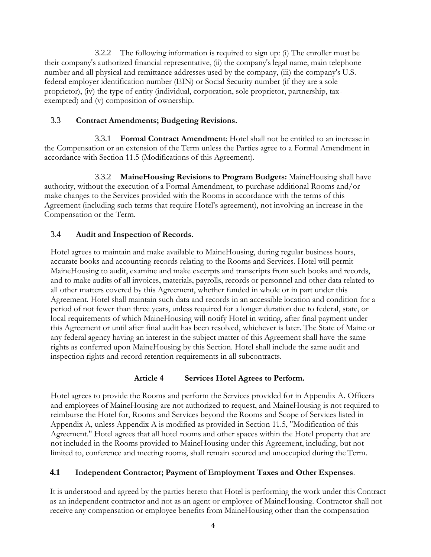3.2.2 The following information is required to sign up: (i) The enroller must be their company's authorized financial representative, (ii) the company's legal name, main telephone number and all physical and remittance addresses used by the company, (iii) the company's U.S. federal employer identification number (EIN) or Social Security number (if they are a sole proprietor), (iv) the type of entity (individual, corporation, sole proprietor, partnership, taxexempted) and (v) composition of ownership.

#### 3.3 **Contract Amendments; Budgeting Revisions.**

3.3.1 **Formal Contract Amendment**: Hotel shall not be entitled to an increase in the Compensation or an extension of the Term unless the Parties agree to a Formal Amendment in accordance with Section 11.5 (Modifications of this Agreement).

3.3.2 **MaineHousing Revisions to Program Budgets:** MaineHousing shall have authority, without the execution of a Formal Amendment, to purchase additional Rooms and/or make changes to the Services provided with the Rooms in accordance with the terms of this Agreement (including such terms that require Hotel's agreement), not involving an increase in the Compensation or the Term.

### 3.4 **Audit and Inspection of Records.**

Hotel agrees to maintain and make available to MaineHousing, during regular business hours, accurate books and accounting records relating to the Rooms and Services. Hotel will permit MaineHousing to audit, examine and make excerpts and transcripts from such books and records, and to make audits of all invoices, materials, payrolls, records or personnel and other data related to all other matters covered by this Agreement, whether funded in whole or in part under this Agreement. Hotel shall maintain such data and records in an accessible location and condition for a period of not fewer than three years, unless required for a longer duration due to federal, state, or local requirements of which MaineHousing will notify Hotel in writing, after final payment under this Agreement or until after final audit has been resolved, whichever is later. The State of Maine or any federal agency having an interest in the subject matter of this Agreement shall have the same rights as conferred upon MaineHousing by this Section. Hotel shall include the same audit and inspection rights and record retention requirements in all subcontracts.

#### **Article 4 Services Hotel Agrees to Perform.**

Hotel agrees to provide the Rooms and perform the Services provided for in Appendix A. Officers and employees of MaineHousing are not authorized to request, and MaineHousing is not required to reimburse the Hotel for, Rooms and Services beyond the Rooms and Scope of Services listed in Appendix A, unless Appendix A is modified as provided in Section 11.5, "Modification of this Agreement." Hotel agrees that all hotel rooms and other spaces within the Hotel property that are not included in the Rooms provided to MaineHousing under this Agreement, including, but not limited to, conference and meeting rooms, shall remain secured and unoccupied during the Term.

### **4.1 Independent Contractor; Payment of Employment Taxes and Other Expenses**.

It is understood and agreed by the parties hereto that Hotel is performing the work under this Contract as an independent contractor and not as an agent or employee of MaineHousing. Contractor shall not receive any compensation or employee benefits from MaineHousing other than the compensation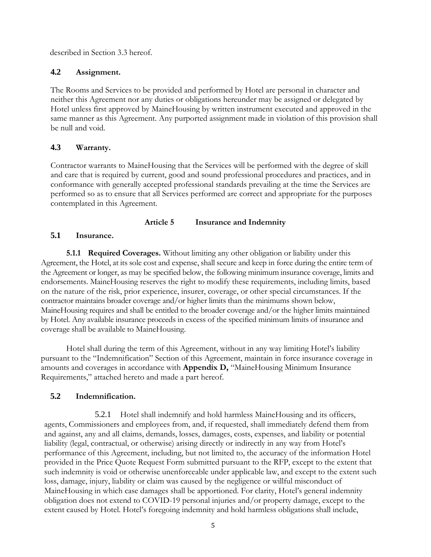described in Section 3.3 hereof.

### **4.2 Assignment.**

The Rooms and Services to be provided and performed by Hotel are personal in character and neither this Agreement nor any duties or obligations hereunder may be assigned or delegated by Hotel unless first approved by MaineHousing by written instrument executed and approved in the same manner as this Agreement. Any purported assignment made in violation of this provision shall be null and void.

### **4.3 Warranty.**

Contractor warrants to MaineHousing that the Services will be performed with the degree of skill and care that is required by current, good and sound professional procedures and practices, and in conformance with generally accepted professional standards prevailing at the time the Services are performed so as to ensure that all Services performed are correct and appropriate for the purposes contemplated in this Agreement.

### **Article 5 Insurance and Indemnity**

### **5.1 Insurance.**

**5.1.1 Required Coverages.** Without limiting any other obligation or liability under this Agreement, the Hotel, at its sole cost and expense, shall secure and keep in force during the entire term of the Agreement or longer, as may be specified below, the following minimum insurance coverage, limits and endorsements. MaineHousing reserves the right to modify these requirements, including limits, based on the nature of the risk, prior experience, insurer, coverage, or other special circumstances. If the contractor maintains broader coverage and/or higher limits than the minimums shown below, MaineHousing requires and shall be entitled to the broader coverage and/or the higher limits maintained by Hotel. Any available insurance proceeds in excess of the specified minimum limits of insurance and coverage shall be available to MaineHousing.

Hotel shall during the term of this Agreement, without in any way limiting Hotel's liability pursuant to the "Indemnification" Section of this Agreement, maintain in force insurance coverage in amounts and coverages in accordance with **Appendix D,** "MaineHousing Minimum Insurance Requirements," attached hereto and made a part hereof.

### **5.2 Indemnification.**

5.2.1 Hotel shall indemnify and hold harmless MaineHousing and its officers, agents, Commissioners and employees from, and, if requested, shall immediately defend them from and against, any and all claims, demands, losses, damages, costs, expenses, and liability or potential liability (legal, contractual, or otherwise) arising directly or indirectly in any way from Hotel's performance of this Agreement, including, but not limited to, the accuracy of the information Hotel provided in the Price Quote Request Form submitted pursuant to the RFP, except to the extent that such indemnity is void or otherwise unenforceable under applicable law, and except to the extent such loss, damage, injury, liability or claim was caused by the negligence or willful misconduct of MaineHousing in which case damages shall be apportioned. For clarity, Hotel's general indemnity obligation does not extend to COVID-19 personal injuries and/or property damage, except to the extent caused by Hotel. Hotel's foregoing indemnity and hold harmless obligations shall include,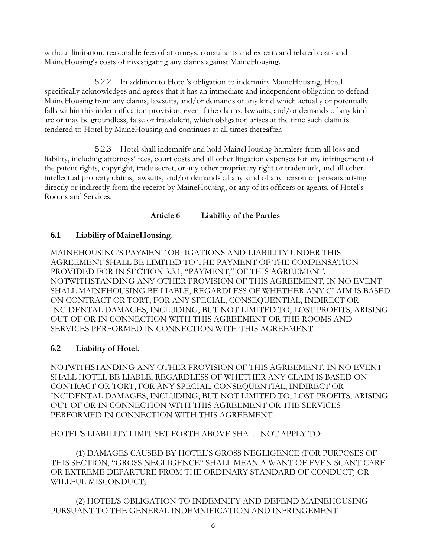without limitation, reasonable fees of attorneys, consultants and experts and related costs and MaineHousing's costs of investigating any claims against MaineHousing.

5.2.2 In addition to Hotel's obligation to indemnify MaineHousing, Hotel specifically acknowledges and agrees that it has an immediate and independent obligation to defend MaineHousing from any claims, lawsuits, and/or demands of any kind which actually or potentially falls within this indemnification provision, even if the claims, lawsuits, and/or demands of any kind are or may be groundless, false or fraudulent, which obligation arises at the time such claim is tendered to Hotel by MaineHousing and continues at all times thereafter.

5.2.3 Hotel shall indemnify and hold MaineHousing harmless from all loss and liability, including attorneys' fees, court costs and all other litigation expenses for any infringement of the patent rights, copyright, trade secret, or any other proprietary right or trademark, and all other intellectual property claims, lawsuits, and/or demands of any kind of any person or persons arising directly or indirectly from the receipt by MaineHousing, or any of its officers or agents, of Hotel's Rooms and Services.

**Article 6 Liability of the Parties**

### **6.1 Liability of MaineHousing.**

MAINEHOUSING'S PAYMENT OBLIGATIONS AND LIABILITY UNDER THIS AGREEMENT SHALL BE LIMITED TO THE PAYMENT OF THE COMPENSATION PROVIDED FOR IN SECTION 3.3.1, "PAYMENT," OF THIS AGREEMENT. NOTWITHSTANDING ANY OTHER PROVISION OF THIS AGREEMENT, IN NO EVENT SHALL MAINEHOUSING BE LIABLE, REGARDLESS OF WHETHER ANY CLAIM IS BASED ON CONTRACT OR TORT, FOR ANY SPECIAL, CONSEQUENTIAL, INDIRECT OR INCIDENTAL DAMAGES, INCLUDING, BUT NOT LIMITED TO, LOST PROFITS, ARISING OUT OF OR IN CONNECTION WITH THIS AGREEMENT OR THE ROOMS AND SERVICES PERFORMED IN CONNECTION WITH THIS AGREEMENT.

### **6.2 Liability of Hotel.**

NOTWITHSTANDING ANY OTHER PROVISION OF THIS AGREEMENT, IN NO EVENT SHALL HOTEL BE LIABLE, REGARDLESS OF WHETHER ANY CLAIM IS BASED ON CONTRACT OR TORT, FOR ANY SPECIAL, CONSEQUENTIAL, INDIRECT OR INCIDENTAL DAMAGES, INCLUDING, BUT NOT LIMITED TO, LOST PROFITS, ARISING OUT OF OR IN CONNECTION WITH THIS AGREEMENT OR THE SERVICES PERFORMED IN CONNECTION WITH THIS AGREEMENT.

### HOTEL'S LIABILITY LIMIT SET FORTH ABOVE SHALL NOT APPLY TO:

(1) DAMAGES CAUSED BY HOTEL'S GROSS NEGLIGENCE (FOR PURPOSES OF THIS SECTION, "GROSS NEGLIGENCE" SHALL MEAN A WANT OF EVEN SCANT CARE OR EXTREME DEPARTURE FROM THE ORDINARY STANDARD OF CONDUCT) OR WILLFUL MISCONDUCT;

(2) HOTEL'S OBLIGATION TO INDEMNIFY AND DEFEND MAINEHOUSING PURSUANT TO THE GENERAL INDEMNIFICATION AND INFRINGEMENT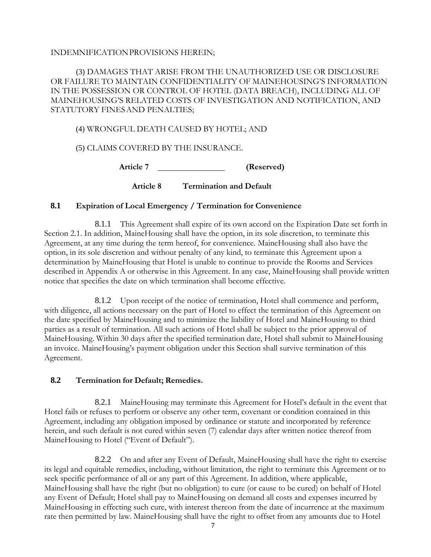#### INDEMNIFICATIONPROVISIONS HEREIN;

### (3) DAMAGES THAT ARISE FROM THE UNAUTHORIZED USE OR DISCLOSURE OR FAILURE TO MAINTAIN CONFIDENTIALITY OF MAINEHOUSING'S INFORMATION IN THE POSSESSION OR CONTROL OF HOTEL (DATA BREACH), INCLUDING ALL OF MAINEHOUSING'S RELATED COSTS OF INVESTIGATION AND NOTIFICATION, AND STATUTORY FINESAND PENALTIES;

#### (4) WRONGFUL DEATH CAUSED BY HOTEL; AND

(5) CLAIMS COVERED BY THE INSURANCE.

**Article 7 (Reserved)**

**Article 8 Termination and Default**

#### **8.1 Expiration of Local Emergency / Termination for Convenience**

8.1.1 This Agreement shall expire of its own accord on the Expiration Date set forth in Section 2.1. In addition, MaineHousing shall have the option, in its sole discretion, to terminate this Agreement, at any time during the term hereof, for convenience. MaineHousing shall also have the option, in its sole discretion and without penalty of any kind, to terminate this Agreement upon a determination by MaineHousing that Hotel is unable to continue to provide the Rooms and Services described in Appendix A or otherwise in this Agreement. In any case, MaineHousing shall provide written notice that specifies the date on which termination shall become effective.

8.1.2 Upon receipt of the notice of termination, Hotel shall commence and perform, with diligence, all actions necessary on the part of Hotel to effect the termination of this Agreement on the date specified by MaineHousing and to minimize the liability of Hotel and MaineHousing to third parties as a result of termination. All such actions of Hotel shall be subject to the prior approval of MaineHousing. Within 30 days after the specified termination date, Hotel shall submit to MaineHousing an invoice. MaineHousing's payment obligation under this Section shall survive termination of this Agreement.

#### **8.2 Termination for Default; Remedies.**

8.2.1 MaineHousing may terminate this Agreement for Hotel's default in the event that Hotel fails or refuses to perform or observe any other term, covenant or condition contained in this Agreement, including any obligation imposed by ordinance or statute and incorporated by reference herein, and such default is not cured within seven (7) calendar days after written notice thereof from MaineHousing to Hotel ("Event of Default").

8.2.2 On and after any Event of Default, MaineHousing shall have the right to exercise its legal and equitable remedies, including, without limitation, the right to terminate this Agreement or to seek specific performance of all or any part of this Agreement. In addition, where applicable, MaineHousing shall have the right (but no obligation) to cure (or cause to be cured) on behalf of Hotel any Event of Default; Hotel shall pay to MaineHousing on demand all costs and expenses incurred by MaineHousing in effecting such cure, with interest thereon from the date of incurrence at the maximum rate then permitted by law. MaineHousing shall have the right to offset from any amounts due to Hotel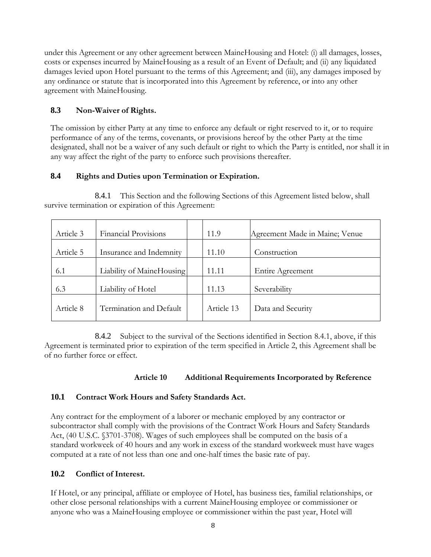under this Agreement or any other agreement between MaineHousing and Hotel: (i) all damages, losses, costs or expenses incurred by MaineHousing as a result of an Event of Default; and (ii) any liquidated damages levied upon Hotel pursuant to the terms of this Agreement; and (iii), any damages imposed by any ordinance or statute that is incorporated into this Agreement by reference, or into any other agreement with MaineHousing.

### **8.3 Non-Waiver of Rights.**

The omission by either Party at any time to enforce any default or right reserved to it, or to require performance of any of the terms, covenants, or provisions hereof by the other Party at the time designated, shall not be a waiver of any such default or right to which the Party is entitled, nor shall it in any way affect the right of the party to enforce such provisions thereafter.

### **8.4 Rights and Duties upon Termination or Expiration.**

| Article 3 | <b>Financial Provisions</b> |  | 11.9       | Agreement Made in Maine; Venue |
|-----------|-----------------------------|--|------------|--------------------------------|
| Article 5 | Insurance and Indemnity     |  | 11.10      | Construction                   |
| 6.1       | Liability of MaineHousing   |  | 11.11      | Entire Agreement               |
| 6.3       | Liability of Hotel          |  | 11.13      | Severability                   |
| Article 8 | Termination and Default     |  | Article 13 | Data and Security              |

8.4.1 This Section and the following Sections of this Agreement listed below, shall survive termination or expiration of this Agreement:

8.4.2 Subject to the survival of the Sections identified in Section 8.4.1, above, if this Agreement is terminated prior to expiration of the term specified in Article 2, this Agreement shall be of no further force or effect.

### **Article 10 Additional Requirements Incorporated by Reference**

### **10.1 Contract Work Hours and Safety Standards Act.**

Any contract for the employment of a laborer or mechanic employed by any contractor or subcontractor shall comply with the provisions of the Contract Work Hours and Safety Standards Act, (40 U.S.C. §3701-3708). Wages of such employees shall be computed on the basis of a standard workweek of 40 hours and any work in excess of the standard workweek must have wages computed at a rate of not less than one and one-half times the basic rate of pay.

### **10.2 Conflict of Interest.**

If Hotel, or any principal, affiliate or employee of Hotel, has business ties, familial relationships, or other close personal relationships with a current MaineHousing employee or commissioner or anyone who was a MaineHousing employee or commissioner within the past year, Hotel will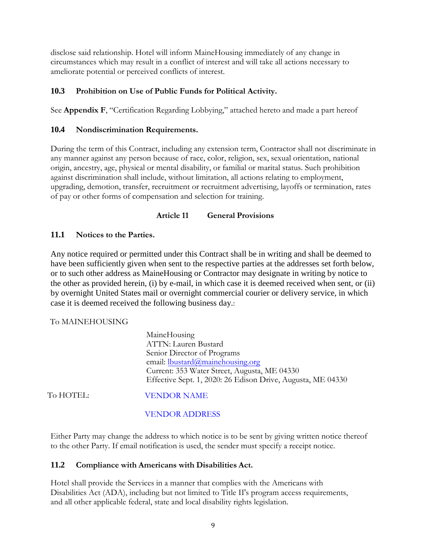disclose said relationship. Hotel will inform MaineHousing immediately of any change in circumstances which may result in a conflict of interest and will take all actions necessary to ameliorate potential or perceived conflicts of interest.

### **10.3 Prohibition on Use of Public Funds for Political Activity.**

See **Appendix F**, "Certification Regarding Lobbying," attached hereto and made a part hereof

#### **10.4 Nondiscrimination Requirements.**

During the term of this Contract, including any extension term, Contractor shall not discriminate in any manner against any person because of race, color, religion, sex, sexual orientation, national origin, ancestry, age, physical or mental disability, or familial or marital status. Such prohibition against discrimination shall include, without limitation, all actions relating to employment, upgrading, demotion, transfer, recruitment or recruitment advertising, layoffs or termination, rates of pay or other forms of compensation and selection for training.

#### **Article 11 General Provisions**

#### **11.1 Notices to the Parties.**

Any notice required or permitted under this Contract shall be in writing and shall be deemed to have been sufficiently given when sent to the respective parties at the addresses set forth below, or to such other address as MaineHousing or Contractor may designate in writing by notice to the other as provided herein, (i) by e-mail, in which case it is deemed received when sent, or (ii) by overnight United States mail or overnight commercial courier or delivery service, in which case it is deemed received the following business day.:

#### To MAINEHOUSING

|           | MaineHousing                                                |
|-----------|-------------------------------------------------------------|
|           | ATTN: Lauren Bustard                                        |
|           | Senior Director of Programs                                 |
|           | email: $l$ bustard $@$ mainehousing.org                     |
|           | Current: 353 Water Street, Augusta, ME 04330                |
|           | Effective Sept. 1, 2020: 26 Edison Drive, Augusta, ME 04330 |
| To HOTEL: | <b>VENDOR NAME</b>                                          |

#### VENDOR ADDRESS

Either Party may change the address to which notice is to be sent by giving written notice thereof to the other Party. If email notification is used, the sender must specify a receipt notice.

#### **11.2 Compliance with Americans with Disabilities Act.**

Hotel shall provide the Services in a manner that complies with the Americans with Disabilities Act (ADA), including but not limited to Title II's program access requirements, and all other applicable federal, state and local disability rights legislation.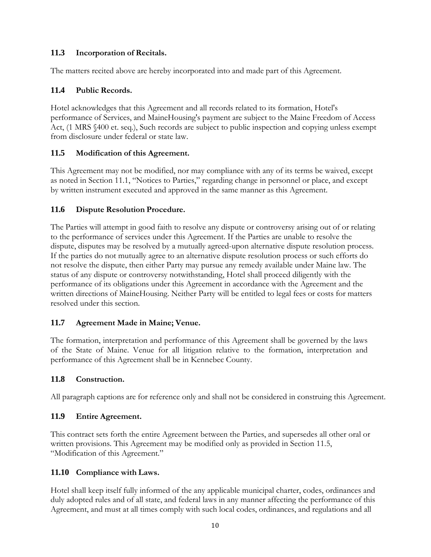### **11.3 Incorporation of Recitals.**

The matters recited above are hereby incorporated into and made part of this Agreement.

### **11.4 Public Records.**

Hotel acknowledges that this Agreement and all records related to its formation, Hotel's performance of Services, and MaineHousing's payment are subject to the Maine Freedom of Access Act, (1 MRS §400 et. seq.), Such records are subject to public inspection and copying unless exempt from disclosure under federal or state law.

### **11.5 Modification of this Agreement.**

This Agreement may not be modified, nor may compliance with any of its terms be waived, except as noted in Section 11.1, "Notices to Parties," regarding change in personnel or place, and except by written instrument executed and approved in the same manner as this Agreement.

### **11.6 Dispute Resolution Procedure.**

The Parties will attempt in good faith to resolve any dispute or controversy arising out of or relating to the performance of services under this Agreement. If the Parties are unable to resolve the dispute, disputes may be resolved by a mutually agreed-upon alternative dispute resolution process. If the parties do not mutually agree to an alternative dispute resolution process or such efforts do not resolve the dispute, then either Party may pursue any remedy available under Maine law. The status of any dispute or controversy notwithstanding, Hotel shall proceed diligently with the performance of its obligations under this Agreement in accordance with the Agreement and the written directions of MaineHousing. Neither Party will be entitled to legal fees or costs for matters resolved under this section.

### **11.7 Agreement Made in Maine; Venue.**

The formation, interpretation and performance of this Agreement shall be governed by the laws of the State of Maine. Venue for all litigation relative to the formation, interpretation and performance of this Agreement shall be in Kennebec County.

### **11.8 Construction.**

All paragraph captions are for reference only and shall not be considered in construing this Agreement.

### **11.9 Entire Agreement.**

This contract sets forth the entire Agreement between the Parties, and supersedes all other oral or written provisions. This Agreement may be modified only as provided in Section 11.5, "Modification of this Agreement."

### **11.10 Compliance with Laws.**

Hotel shall keep itself fully informed of the any applicable municipal charter, codes, ordinances and duly adopted rules and of all state, and federal laws in any manner affecting the performance of this Agreement, and must at all times comply with such local codes, ordinances, and regulations and all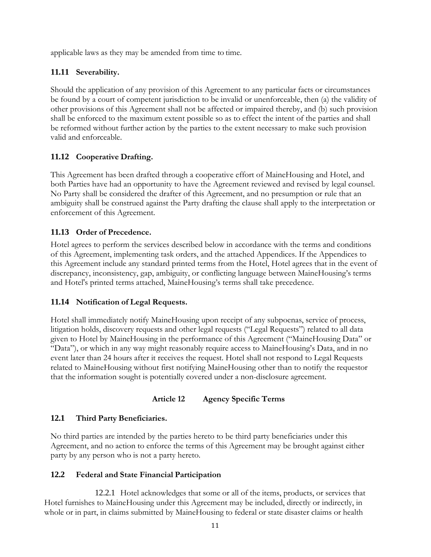applicable laws as they may be amended from time to time.

### **11.11 Severability.**

Should the application of any provision of this Agreement to any particular facts or circumstances be found by a court of competent jurisdiction to be invalid or unenforceable, then (a) the validity of other provisions of this Agreement shall not be affected or impaired thereby, and (b) such provision shall be enforced to the maximum extent possible so as to effect the intent of the parties and shall be reformed without further action by the parties to the extent necessary to make such provision valid and enforceable.

### **11.12 Cooperative Drafting.**

This Agreement has been drafted through a cooperative effort of MaineHousing and Hotel, and both Parties have had an opportunity to have the Agreement reviewed and revised by legal counsel. No Party shall be considered the drafter of this Agreement, and no presumption or rule that an ambiguity shall be construed against the Party drafting the clause shall apply to the interpretation or enforcement of this Agreement.

### **11.13 Order of Precedence.**

Hotel agrees to perform the services described below in accordance with the terms and conditions of this Agreement, implementing task orders, and the attached Appendices. If the Appendices to this Agreement include any standard printed terms from the Hotel, Hotel agrees that in the event of discrepancy, inconsistency, gap, ambiguity, or conflicting language between MaineHousing's terms and Hotel's printed terms attached, MaineHousing's terms shall take precedence.

### **11.14 Notification of Legal Requests.**

Hotel shall immediately notify MaineHousing upon receipt of any subpoenas, service of process, litigation holds, discovery requests and other legal requests ("Legal Requests") related to all data given to Hotel by MaineHousing in the performance of this Agreement ("MaineHousing Data" or "Data"), or which in any way might reasonably require access to MaineHousing's Data, and in no event later than 24 hours after it receives the request. Hotel shall not respond to Legal Requests related to MaineHousing without first notifying MaineHousing other than to notify the requestor that the information sought is potentially covered under a non-disclosure agreement.

#### **Article 12 Agency Specific Terms**

#### **12.1 Third Party Beneficiaries.**

No third parties are intended by the parties hereto to be third party beneficiaries under this Agreement, and no action to enforce the terms of this Agreement may be brought against either party by any person who is not a party hereto.

#### **12.2 Federal and State Financial Participation**

12.2.1 Hotel acknowledges that some or all of the items, products, or services that Hotel furnishes to MaineHousing under this Agreement may be included, directly or indirectly, in whole or in part, in claims submitted by MaineHousing to federal or state disaster claims or health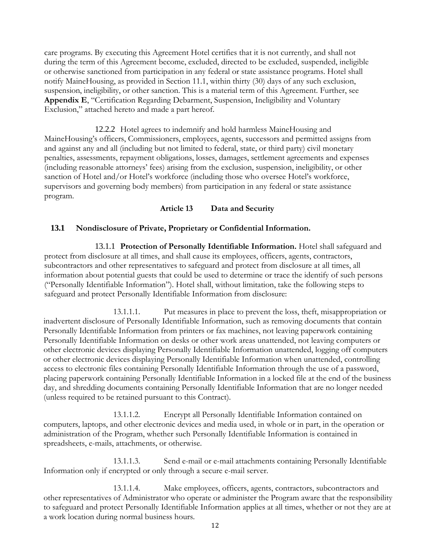care programs. By executing this Agreement Hotel certifies that it is not currently, and shall not during the term of this Agreement become, excluded, directed to be excluded, suspended, ineligible or otherwise sanctioned from participation in any federal or state assistance programs. Hotel shall notify MaineHousing, as provided in Section 11.1, within thirty (30) days of any such exclusion, suspension, ineligibility, or other sanction. This is a material term of this Agreement. Further, see **Appendix E**, "Certification Regarding Debarment, Suspension, Ineligibility and Voluntary Exclusion," attached hereto and made a part hereof.

12.2.2 Hotel agrees to indemnify and hold harmless MaineHousing and MaineHousing's officers, Commissioners, employees, agents, successors and permitted assigns from and against any and all (including but not limited to federal, state, or third party) civil monetary penalties, assessments, repayment obligations, losses, damages, settlement agreements and expenses (including reasonable attorneys' fees) arising from the exclusion, suspension, ineligibility, or other sanction of Hotel and/or Hotel's workforce (including those who oversee Hotel's workforce, supervisors and governing body members) from participation in any federal or state assistance program.

#### **Article 13 Data and Security**

#### **13.1 Nondisclosure of Private, Proprietary or Confidential Information.**

13.1.1 **Protection of Personally Identifiable Information.** Hotel shall safeguard and protect from disclosure at all times, and shall cause its employees, officers, agents, contractors, subcontractors and other representatives to safeguard and protect from disclosure at all times, all information about potential guests that could be used to determine or trace the identify of such persons ("Personally Identifiable Information"). Hotel shall, without limitation, take the following steps to safeguard and protect Personally Identifiable Information from disclosure:

13.1.1.1. Put measures in place to prevent the loss, theft, misappropriation or inadvertent disclosure of Personally Identifiable Information, such as removing documents that contain Personally Identifiable Information from printers or fax machines, not leaving paperwork containing Personally Identifiable Information on desks or other work areas unattended, not leaving computers or other electronic devices displaying Personally Identifiable Information unattended, logging off computers or other electronic devices displaying Personally Identifiable Information when unattended, controlling access to electronic files containing Personally Identifiable Information through the use of a password, placing paperwork containing Personally Identifiable Information in a locked file at the end of the business day, and shredding documents containing Personally Identifiable Information that are no longer needed (unless required to be retained pursuant to this Contract).

13.1.1.2. Encrypt all Personally Identifiable Information contained on computers, laptops, and other electronic devices and media used, in whole or in part, in the operation or administration of the Program, whether such Personally Identifiable Information is contained in spreadsheets, e-mails, attachments, or otherwise.

13.1.1.3. Send e-mail or e-mail attachments containing Personally Identifiable Information only if encrypted or only through a secure e-mail server.

13.1.1.4. Make employees, officers, agents, contractors, subcontractors and other representatives of Administrator who operate or administer the Program aware that the responsibility to safeguard and protect Personally Identifiable Information applies at all times, whether or not they are at a work location during normal business hours.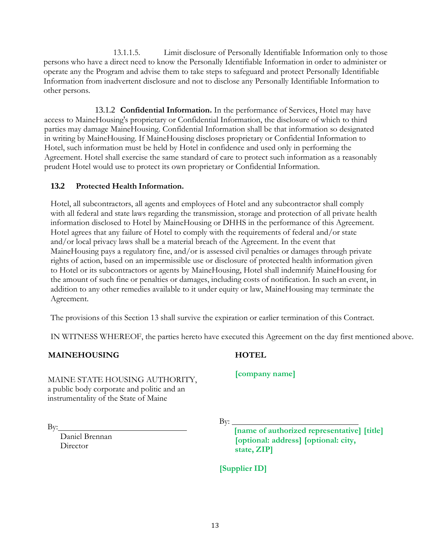13.1.1.5. Limit disclosure of Personally Identifiable Information only to those persons who have a direct need to know the Personally Identifiable Information in order to administer or operate any the Program and advise them to take steps to safeguard and protect Personally Identifiable Information from inadvertent disclosure and not to disclose any Personally Identifiable Information to other persons.

13.1.2 **Confidential Information.** In the performance of Services, Hotel may have access to MaineHousing's proprietary or Confidential Information, the disclosure of which to third parties may damage MaineHousing. Confidential Information shall be that information so designated in writing by MaineHousing. If MaineHousing discloses proprietary or Confidential Information to Hotel, such information must be held by Hotel in confidence and used only in performing the Agreement. Hotel shall exercise the same standard of care to protect such information as a reasonably prudent Hotel would use to protect its own proprietary or Confidential Information.

### **13.2 Protected Health Information.**

Hotel, all subcontractors, all agents and employees of Hotel and any subcontractor shall comply with all federal and state laws regarding the transmission, storage and protection of all private health information disclosed to Hotel by MaineHousing or DHHS in the performance of this Agreement. Hotel agrees that any failure of Hotel to comply with the requirements of federal and/or state and/or local privacy laws shall be a material breach of the Agreement. In the event that MaineHousing pays a regulatory fine, and/or is assessed civil penalties or damages through private rights of action, based on an impermissible use or disclosure of protected health information given to Hotel or its subcontractors or agents by MaineHousing, Hotel shall indemnify MaineHousing for the amount of such fine or penalties or damages, including costs of notification. In such an event, in addition to any other remedies available to it under equity or law, MaineHousing may terminate the Agreement.

The provisions of this Section 13 shall survive the expiration or earlier termination of this Contract.

IN WITNESS WHEREOF, the parties hereto have executed this Agreement on the day first mentioned above.

#### **MAINEHOUSING**

MAINE STATE HOUSING AUTHORITY, a public body corporate and politic and an instrumentality of the State of Maine

By:

Daniel Brennan **Director** 

**HOTEL**

**[company name]**

By:

**[name of authorized representative] [title] [optional: address] [optional: city, state, ZIP]**

**[Supplier ID]**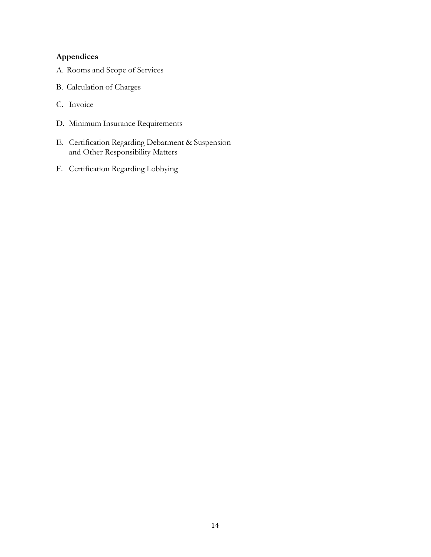## **Appendices**

- A. Rooms and Scope of Services
- B. Calculation of Charges
- C. Invoice
- D. Minimum Insurance Requirements
- E. Certification Regarding Debarment & Suspension and Other Responsibility Matters
- F. Certification Regarding Lobbying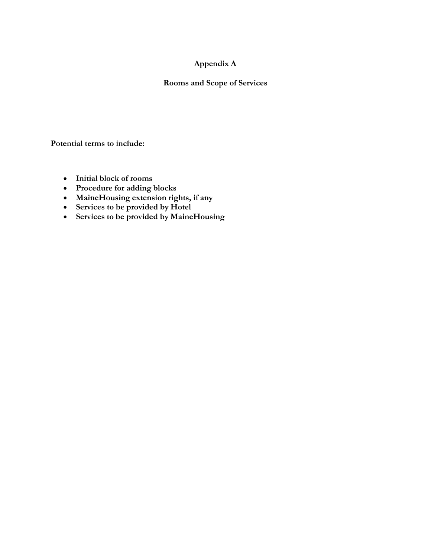### **Appendix A**

### **Rooms and Scope of Services**

**Potential terms to include:**

- **Initial block of rooms**
- **Procedure for adding blocks**
- **MaineHousing extension rights, if any**
- **Services to be provided by Hotel**
- **Services to be provided by MaineHousing**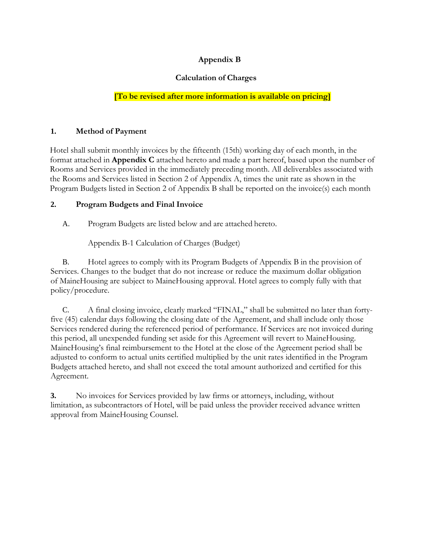### **Appendix B**

### **Calculation of Charges**

### **[To be revised after more information is available on pricing]**

### **1. Method of Payment**

Hotel shall submit monthly invoices by the fifteenth (15th) working day of each month, in the format attached in **Appendix C** attached hereto and made a part hereof, based upon the number of Rooms and Services provided in the immediately preceding month. All deliverables associated with the Rooms and Services listed in Section 2 of Appendix A, times the unit rate as shown in the Program Budgets listed in Section 2 of Appendix B shall be reported on the invoice(s) each month

### **2. Program Budgets and Final Invoice**

A. Program Budgets are listed below and are attached hereto.

Appendix B-1 Calculation of Charges (Budget)

B. Hotel agrees to comply with its Program Budgets of Appendix B in the provision of Services. Changes to the budget that do not increase or reduce the maximum dollar obligation of MaineHousing are subject to MaineHousing approval. Hotel agrees to comply fully with that policy/procedure.

C. A final closing invoice, clearly marked "FINAL," shall be submitted no later than fortyfive (45) calendar days following the closing date of the Agreement, and shall include only those Services rendered during the referenced period of performance. If Services are not invoiced during this period, all unexpended funding set aside for this Agreement will revert to MaineHousing. MaineHousing's final reimbursement to the Hotel at the close of the Agreement period shall be adjusted to conform to actual units certified multiplied by the unit rates identified in the Program Budgets attached hereto, and shall not exceed the total amount authorized and certified for this Agreement.

**3.** No invoices for Services provided by law firms or attorneys, including, without limitation, as subcontractors of Hotel, will be paid unless the provider received advance written approval from MaineHousing Counsel.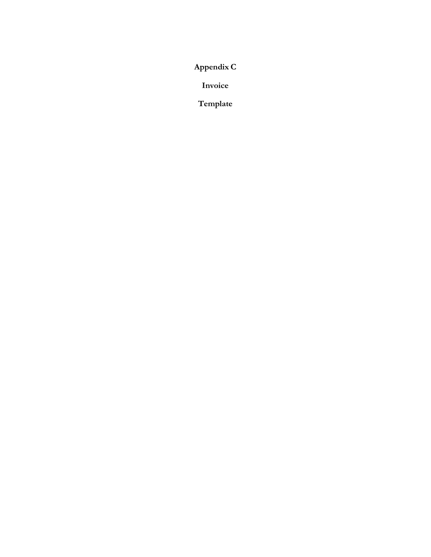**Appendix C**

**Invoice**

**Template**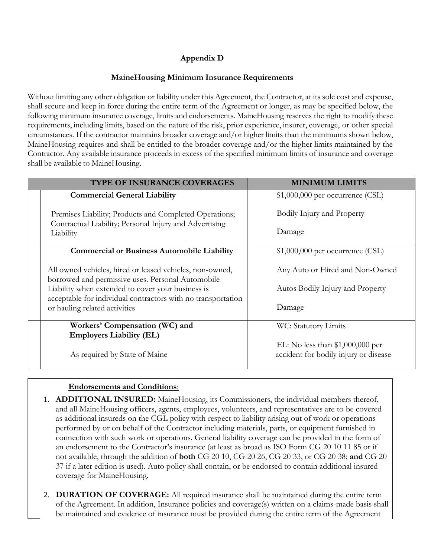# **Appendix D**

### **MaineHousing Minimum Insurance Requirements**

Without limiting any other obligation or liability under this Agreement, the Contractor, at its sole cost and expense, shall secure and keep in force during the entire term of the Agreement or longer, as may be specified below, the following minimum insurance coverage, limits and endorsements. MaineHousing reserves the right to modify these requirements, including limits, based on the nature of the risk, prior experience, insurer, coverage, or other special circumstances. If the contractor maintains broader coverage and/or higher limits than the minimums shown below, MaineHousing requires and shall be entitled to the broader coverage and/or the higher limits maintained by the Contractor. Any available insurance proceeds in excess of the specified minimum limits of insurance and coverage shall be available to MaineHousing.

| <b>TYPE OF INSURANCE COVERAGES</b>                                                                                | <b>MINIMUM LIMITS</b>                                                      |  |  |
|-------------------------------------------------------------------------------------------------------------------|----------------------------------------------------------------------------|--|--|
| <b>Commercial General Liability</b>                                                                               | $$1,000,000$ per occurrence (CSL)                                          |  |  |
| Premises Liability; Products and Completed Operations;<br>Contractual Liability; Personal Injury and Advertising  | Bodily Injury and Property<br>Damage                                       |  |  |
| Liability<br><b>Commercial or Business Automobile Liability</b>                                                   | $$1,000,000$ per occurrence (CSL)                                          |  |  |
| All owned vehicles, hired or leased vehicles, non-owned,<br>borrowed and permissive uses. Personal Automobile     | Any Auto or Hired and Non-Owned                                            |  |  |
| Liability when extended to cover your business is<br>acceptable for individual contractors with no transportation | Autos Bodily Injury and Property                                           |  |  |
| or hauling related activities                                                                                     | Damage                                                                     |  |  |
| Workers' Compensation (WC) and                                                                                    | WC: Statutory Limits                                                       |  |  |
| <b>Employers Liability (EL)</b><br>As required by State of Maine                                                  | EL: No less than $$1,000,000$ per<br>accident for bodily injury or disease |  |  |

### **Endorsements and Conditions**:

- 1. **ADDITIONAL INSURED:** MaineHousing, its Commissioners, the individual members thereof, and all MaineHousing officers, agents, employees, volunteers, and representatives are to be covered as additional insureds on the CGL policy with respect to liability arising out of work or operations performed by or on behalf of the Contractor including materials, parts, or equipment furnished in connection with such work or operations. General liability coverage can be provided in the form of an endorsement to the Contractor's insurance (at least as broad as ISO Form CG 20 10 11 85 or if not available, through the addition of **both** CG 20 10, CG 20 26, CG 20 33, or CG 20 38; **and** CG 20 37 if a later edition is used). Auto policy shall contain, or be endorsed to contain additional insured coverage for MaineHousing.
- 2. **DURATION OF COVERAGE:** All required insurance shall be maintained during the entire term of the Agreement. In addition, Insurance policies and coverage(s) written on a claims-made basis shall be maintained and evidence of insurance must be provided during the entire term of the Agreement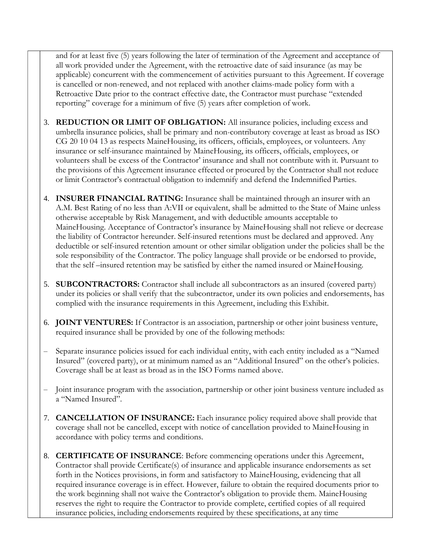and for at least five (5) years following the later of termination of the Agreement and acceptance of all work provided under the Agreement, with the retroactive date of said insurance (as may be applicable) concurrent with the commencement of activities pursuant to this Agreement. If coverage is cancelled or non-renewed, and not replaced with another claims-made policy form with a Retroactive Date prior to the contract effective date, the Contractor must purchase "extended reporting" coverage for a minimum of five (5) years after completion of work.

- 3. **REDUCTION OR LIMIT OF OBLIGATION:** All insurance policies, including excess and umbrella insurance policies, shall be primary and non-contributory coverage at least as broad as ISO CG 20 10 04 13 as respects MaineHousing, its officers, officials, employees, or volunteers. Any insurance or self-insurance maintained by MaineHousing, its officers, officials, employees, or volunteers shall be excess of the Contractor' insurance and shall not contribute with it. Pursuant to the provisions of this Agreement insurance effected or procured by the Contractor shall not reduce or limit Contractor's contractual obligation to indemnify and defend the Indemnified Parties.
- 4. **INSURER FINANCIAL RATING:** Insurance shall be maintained through an insurer with an A.M. Best Rating of no less than A:VII or equivalent, shall be admitted to the State of Maine unless otherwise acceptable by Risk Management, and with deductible amounts acceptable to MaineHousing. Acceptance of Contractor's insurance by MaineHousing shall not relieve or decrease the liability of Contractor hereunder. Self-insured retentions must be declared and approved. Any deductible or self-insured retention amount or other similar obligation under the policies shall be the sole responsibility of the Contractor. The policy language shall provide or be endorsed to provide, that the self –insured retention may be satisfied by either the named insured or MaineHousing.
- 5. **SUBCONTRACTORS:** Contractor shall include all subcontractors as an insured (covered party) under its policies or shall verify that the subcontractor, under its own policies and endorsements, has complied with the insurance requirements in this Agreement, including this Exhibit.
- 6. **JOINT VENTURES:** If Contractor is an association, partnership or other joint business venture, required insurance shall be provided by one of the following methods:
- Separate insurance policies issued for each individual entity, with each entity included as a "Named Insured" (covered party), or at minimum named as an "Additional Insured" on the other's policies. Coverage shall be at least as broad as in the ISO Forms named above.
- Joint insurance program with the association, partnership or other joint business venture included as a "Named Insured".
- 7. **CANCELLATION OF INSURANCE:** Each insurance policy required above shall provide that coverage shall not be cancelled, except with notice of cancellation provided to MaineHousing in accordance with policy terms and conditions.
- 8. **CERTIFICATE OF INSURANCE**: Before commencing operations under this Agreement, Contractor shall provide Certificate(s) of insurance and applicable insurance endorsements as set forth in the Notices provisions, in form and satisfactory to MaineHousing, evidencing that all required insurance coverage is in effect. However, failure to obtain the required documents prior to the work beginning shall not waive the Contractor's obligation to provide them. MaineHousing reserves the right to require the Contractor to provide complete, certified copies of all required insurance policies, including endorsements required by these specifications, at any time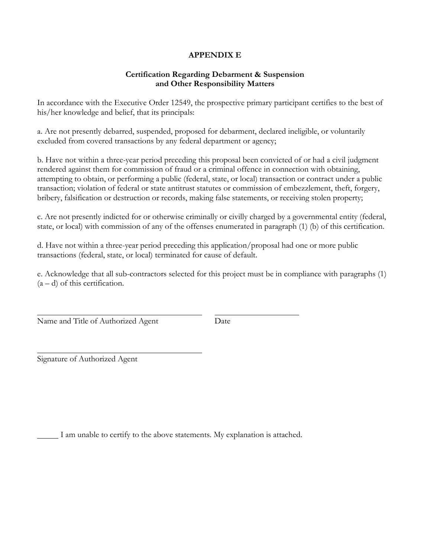#### **APPENDIX E**

#### **Certification Regarding Debarment & Suspension and Other Responsibility Matters**

In accordance with the Executive Order 12549, the prospective primary participant certifies to the best of his/her knowledge and belief, that its principals:

a. Are not presently debarred, suspended, proposed for debarment, declared ineligible, or voluntarily excluded from covered transactions by any federal department or agency;

b. Have not within a three-year period preceding this proposal been convicted of or had a civil judgment rendered against them for commission of fraud or a criminal offence in connection with obtaining, attempting to obtain, or performing a public (federal, state, or local) transaction or contract under a public transaction; violation of federal or state antitrust statutes or commission of embezzlement, theft, forgery, bribery, falsification or destruction or records, making false statements, or receiving stolen property;

c. Are not presently indicted for or otherwise criminally or civilly charged by a governmental entity (federal, state, or local) with commission of any of the offenses enumerated in paragraph (1) (b) of this certification.

d. Have not within a three-year period preceding this application/proposal had one or more public transactions (federal, state, or local) terminated for cause of default.

e. Acknowledge that all sub-contractors selected for this project must be in compliance with paragraphs (1)  $(a - d)$  of this certification.

Name and Title of Authorized Agent Date

Signature of Authorized Agent

I am unable to certify to the above statements. My explanation is attached.